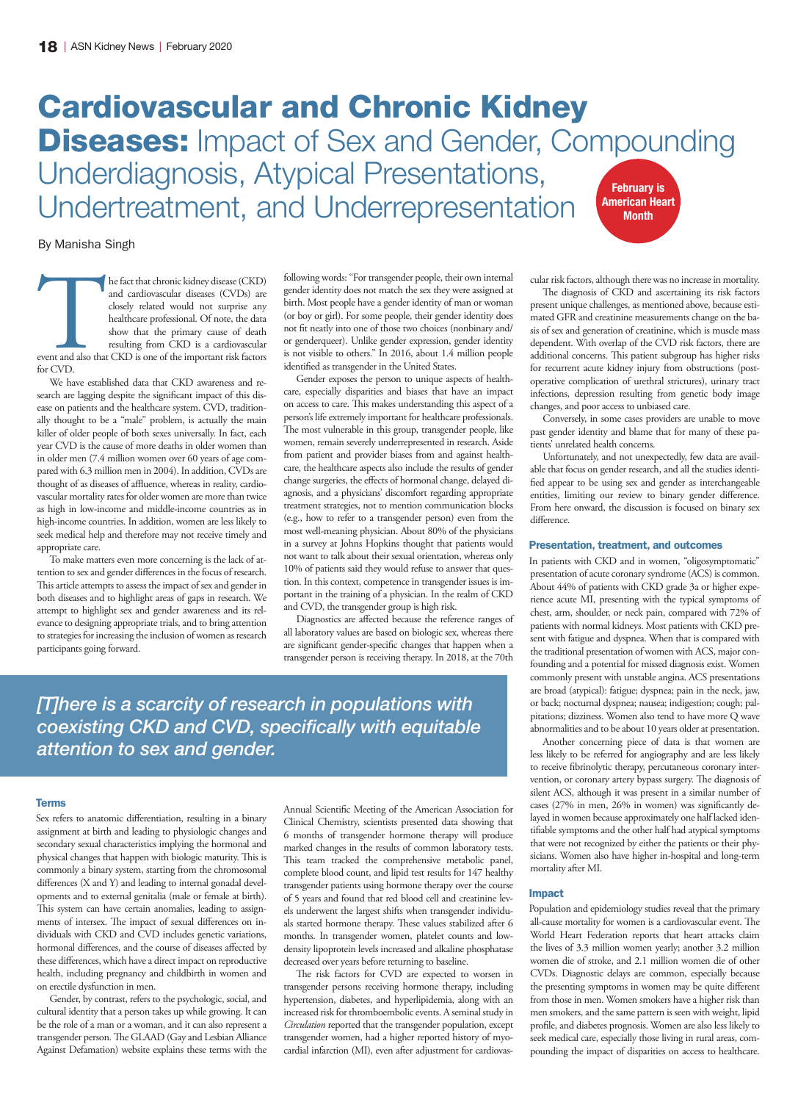# Cardiovascular and Chronic Kidney **Diseases:** Impact of Sex and Gender, Compounding Underdiagnosis, Atypical Presentations, Undertreatment, and Underrepresentation February is American Heart **Month**

By Manisha Singh

The fact that chronic kidney disease (CKD)<br>and cardiovascular diseases (CVDs) are<br>closely related would not surprise any<br>healthcare professional. Of note, the data<br>show that the primary cause of death<br>resulting from CKD is and cardiovascular diseases (CVDs) are closely related would not surprise any healthcare professional. Of note, the data show that the primary cause of death resulting from CKD is a cardiovascular event and also that CKD is one of the important risk factors for CVD.

We have established data that CKD awareness and research are lagging despite the significant impact of this disease on patients and the healthcare system. CVD, traditionally thought to be a "male" problem, is actually the main killer of older people of both sexes universally. In fact, each year CVD is the cause of more deaths in older women than in older men (7.4 million women over 60 years of age compared with 6.3 million men in 2004). In addition, CVDs are thought of as diseases of affluence, whereas in reality, cardiovascular mortality rates for older women are more than twice as high in low-income and middle-income countries as in high-income countries. In addition, women are less likely to seek medical help and therefore may not receive timely and appropriate care.

To make matters even more concerning is the lack of attention to sex and gender differences in the focus of research. This article attempts to assess the impact of sex and gender in both diseases and to highlight areas of gaps in research. We attempt to highlight sex and gender awareness and its relevance to designing appropriate trials, and to bring attention to strategies for increasing the inclusion of women as research participants going forward.

following words: "For transgender people, their own internal gender identity does not match the sex they were assigned at birth. Most people have a gender identity of man or woman (or boy or girl). For some people, their gender identity does not fit neatly into one of those two choices (nonbinary and/ or genderqueer). Unlike gender expression, gender identity is not visible to others." In 2016, about 1.4 million people identified as transgender in the United States.

Gender exposes the person to unique aspects of healthcare, especially disparities and biases that have an impact on access to care. This makes understanding this aspect of a person's life extremely important for healthcare professionals. The most vulnerable in this group, transgender people, like women, remain severely underrepresented in research. Aside from patient and provider biases from and against healthcare, the healthcare aspects also include the results of gender change surgeries, the effects of hormonal change, delayed diagnosis, and a physicians' discomfort regarding appropriate treatment strategies, not to mention communication blocks (e.g., how to refer to a transgender person) even from the most well-meaning physician. About 80% of the physicians in a survey at Johns Hopkins thought that patients would not want to talk about their sexual orientation, whereas only 10% of patients said they would refuse to answer that question. In this context, competence in transgender issues is important in the training of a physician. In the realm of CKD and CVD, the transgender group is high risk.

Diagnostics are affected because the reference ranges of all laboratory values are based on biologic sex, whereas there are significant gender-specific changes that happen when a transgender person is receiving therapy. In 2018, at the 70th

*[T]here is a scarcity of research in populations with coexisting CKD and CVD, specifically with equitable attention to sex and gender.* 

#### Terms

Sex refers to anatomic differentiation, resulting in a binary assignment at birth and leading to physiologic changes and secondary sexual characteristics implying the hormonal and physical changes that happen with biologic maturity. This is commonly a binary system, starting from the chromosomal differences (X and Y) and leading to internal gonadal developments and to external genitalia (male or female at birth). This system can have certain anomalies, leading to assignments of intersex. The impact of sexual differences on individuals with CKD and CVD includes genetic variations, hormonal differences, and the course of diseases affected by these differences, which have a direct impact on reproductive health, including pregnancy and childbirth in women and on erectile dysfunction in men.

Gender, by contrast, refers to the psychologic, social, and cultural identity that a person takes up while growing. It can be the role of a man or a woman, and it can also represent a transgender person. The GLAAD (Gay and Lesbian Alliance Against Defamation) website explains these terms with the

Annual Scientific Meeting of the American Association for Clinical Chemistry, scientists presented data showing that 6 months of transgender hormone therapy will produce marked changes in the results of common laboratory tests. This team tracked the comprehensive metabolic panel, complete blood count, and lipid test results for 147 healthy transgender patients using hormone therapy over the course of 5 years and found that red blood cell and creatinine levels underwent the largest shifts when transgender individuals started hormone therapy. These values stabilized after 6 months. In transgender women, platelet counts and lowdensity lipoprotein levels increased and alkaline phosphatase decreased over years before returning to baseline.

The risk factors for CVD are expected to worsen in transgender persons receiving hormone therapy, including hypertension, diabetes, and hyperlipidemia, along with an increased risk for thromboembolic events. A seminal study in *Circulation* reported that the transgender population, except transgender women, had a higher reported history of myocardial infarction (MI), even after adjustment for cardiovascular risk factors, although there was no increase in mortality.

The diagnosis of CKD and ascertaining its risk factors present unique challenges, as mentioned above, because estimated GFR and creatinine measurements change on the basis of sex and generation of creatinine, which is muscle mass dependent. With overlap of the CVD risk factors, there are additional concerns. This patient subgroup has higher risks for recurrent acute kidney injury from obstructions (postoperative complication of urethral strictures), urinary tract infections, depression resulting from genetic body image changes, and poor access to unbiased care.

Conversely, in some cases providers are unable to move past gender identity and blame that for many of these patients' unrelated health concerns.

Unfortunately, and not unexpectedly, few data are available that focus on gender research, and all the studies identified appear to be using sex and gender as interchangeable entities, limiting our review to binary gender difference. From here onward, the discussion is focused on binary sex difference.

### Presentation, treatment, and outcomes

In patients with CKD and in women, "oligosymptomatic" presentation of acute coronary syndrome (ACS) is common. About 44% of patients with CKD grade 3a or higher experience acute MI, presenting with the typical symptoms of chest, arm, shoulder, or neck pain, compared with 72% of patients with normal kidneys. Most patients with CKD present with fatigue and dyspnea. When that is compared with the traditional presentation of women with ACS, major confounding and a potential for missed diagnosis exist. Women commonly present with unstable angina. ACS presentations are broad (atypical): fatigue; dyspnea; pain in the neck, jaw, or back; nocturnal dyspnea; nausea; indigestion; cough; palpitations; dizziness. Women also tend to have more Q wave abnormalities and to be about 10 years older at presentation.

Another concerning piece of data is that women are less likely to be referred for angiography and are less likely to receive fibrinolytic therapy, percutaneous coronary intervention, or coronary artery bypass surgery. The diagnosis of silent ACS, although it was present in a similar number of cases (27% in men, 26% in women) was significantly delayed in women because approximately one half lacked identifiable symptoms and the other half had atypical symptoms that were not recognized by either the patients or their physicians. Women also have higher in-hospital and long-term mortality after MI.

# Impact

Population and epidemiology studies reveal that the primary all-cause mortality for women is a cardiovascular event. The World Heart Federation reports that heart attacks claim the lives of 3.3 million women yearly; another 3.2 million women die of stroke, and 2.1 million women die of other CVDs. Diagnostic delays are common, especially because the presenting symptoms in women may be quite different from those in men. Women smokers have a higher risk than men smokers, and the same pattern is seen with weight, lipid profile, and diabetes prognosis. Women are also less likely to seek medical care, especially those living in rural areas, compounding the impact of disparities on access to healthcare.